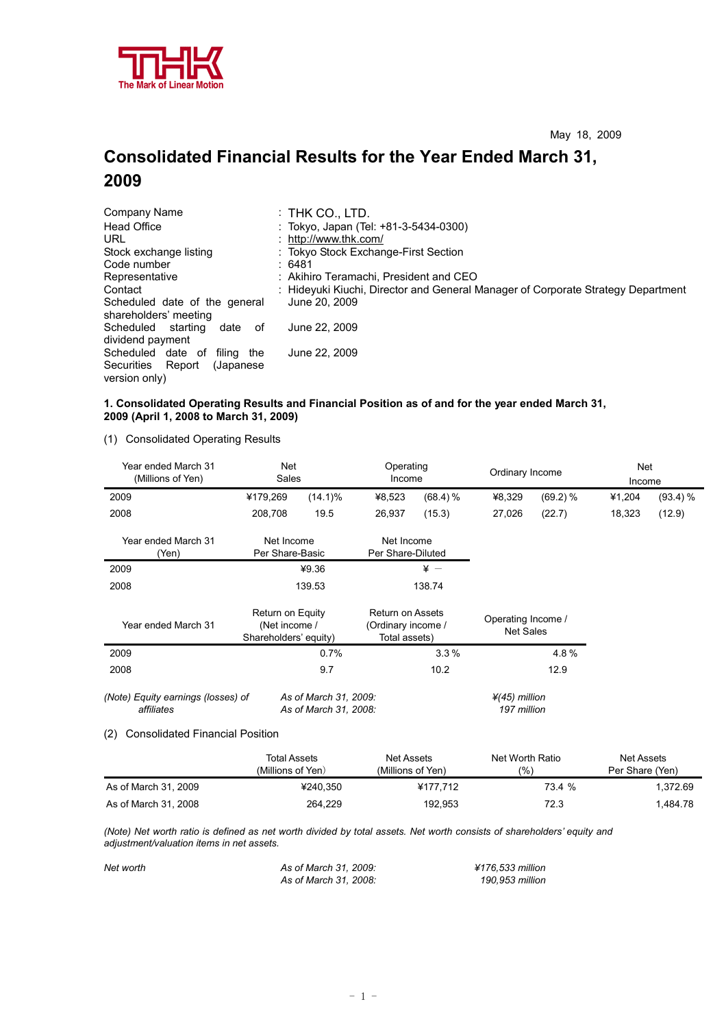

# **Consolidated Financial Results for the Year Ended March 31, 2009**

| Company Name                        | :THK CO., LTD.                                                                   |
|-------------------------------------|----------------------------------------------------------------------------------|
| <b>Head Office</b>                  | : Tokyo, Japan (Tel: +81-3-5434-0300)                                            |
| URL                                 | : http://www.thk.com/                                                            |
| Stock exchange listing              | : Tokyo Stock Exchange-First Section                                             |
| Code number                         | :6481                                                                            |
| Representative                      | : Akihiro Teramachi, President and CEO                                           |
| Contact                             | : Hideyuki Kiuchi, Director and General Manager of Corporate Strategy Department |
| Scheduled date of the general       | June 20, 2009                                                                    |
| shareholders' meeting               |                                                                                  |
| Scheduled<br>starting<br>date<br>0f | June 22, 2009                                                                    |
| dividend payment                    |                                                                                  |
| Scheduled date of<br>filing the     | June 22, 2009                                                                    |
| Securities Report<br>(Japanese)     |                                                                                  |
| version only)                       |                                                                                  |

### **1. Consolidated Operating Results and Financial Position as of and for the year ended March 31, 2009 (April 1, 2008 to March 31, 2009)**

(1) Consolidated Operating Results

| Year ended March 31<br>(Millions of Yen)         | <b>Net</b><br>Sales                                        |                                                | Operating<br>Income                                            |            | Ordinary Income                          |          | Net<br>Income |          |
|--------------------------------------------------|------------------------------------------------------------|------------------------------------------------|----------------------------------------------------------------|------------|------------------------------------------|----------|---------------|----------|
| 2009                                             | ¥179,269                                                   | $(14.1)\%$                                     | ¥8,523                                                         | $(68.4)$ % | ¥8,329                                   | (69.2) % | ¥1,204        | (93.4) % |
| 2008                                             | 208,708                                                    | 19.5                                           | 26,937                                                         | (15.3)     | 27,026                                   | (22.7)   | 18,323        | (12.9)   |
| Year ended March 31<br>(Yen)                     | Net Income<br>Per Share-Basic                              |                                                | Net Income<br>Per Share-Diluted                                |            |                                          |          |               |          |
| 2009                                             |                                                            | ¥9.36                                          |                                                                | $\angle$ + |                                          |          |               |          |
| 2008                                             |                                                            | 139.53                                         |                                                                | 138.74     |                                          |          |               |          |
| Year ended March 31                              | Return on Equity<br>(Net income /<br>Shareholders' equity) |                                                | <b>Return on Assets</b><br>(Ordinary income /<br>Total assets) |            | Operating Income /<br><b>Net Sales</b>   |          |               |          |
| 2009                                             |                                                            | 0.7%                                           |                                                                | 3.3%       |                                          | 4.8%     |               |          |
| 2008                                             |                                                            | 9.7                                            |                                                                | 10.2       |                                          | 12.9     |               |          |
| (Note) Equity earnings (losses) of<br>affiliates |                                                            | As of March 31, 2009:<br>As of March 31, 2008: |                                                                |            | $\frac{1}{4}(45)$ million<br>197 million |          |               |          |
| <b>Consolidated Financial Position</b><br>(2)    |                                                            |                                                |                                                                |            |                                          |          |               |          |

|                      | Total Assets<br>(Millions of Yen) | Net Assets<br>(Millions of Yen) | Net Worth Ratio<br>(%) | Net Assets<br>Per Share (Yen) |
|----------------------|-----------------------------------|---------------------------------|------------------------|-------------------------------|
| As of March 31, 2009 | ¥240.350                          | ¥177.712                        | 73.4 %                 | 1.372.69                      |
| As of March 31, 2008 | 264.229                           | 192.953                         | 72.3                   | 1.484.78                      |

*(Note) Net worth ratio is defined as net worth divided by total assets. Net worth consists of shareholders' equity and adjustment/valuation items in net assets.*

| Net worth | As of March 31, 2009: | ¥176.533 million |
|-----------|-----------------------|------------------|
|           | As of March 31, 2008: | 190.953 million  |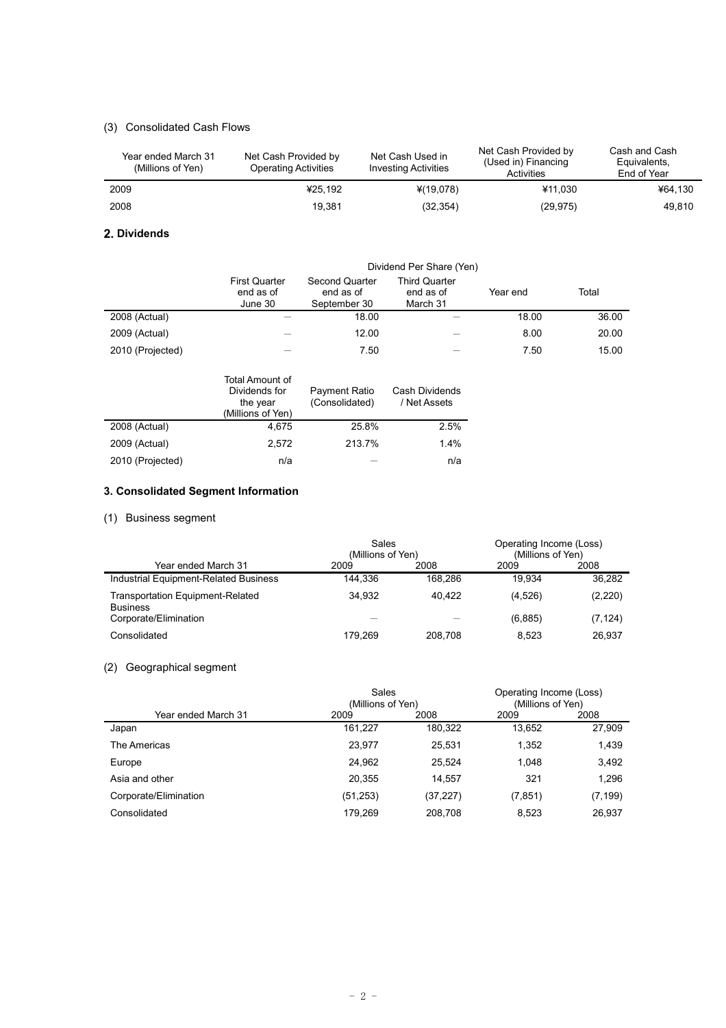## (3) Consolidated Cash Flows

| Year ended March 31<br>(Millions of Yen) | Net Cash Provided by<br><b>Operating Activities</b> | Net Cash Used in<br><b>Investing Activities</b> | Net Cash Provided by<br>(Used in) Financing<br>Activities | Cash and Cash<br>Equivalents,<br>End of Year |
|------------------------------------------|-----------------------------------------------------|-------------------------------------------------|-----------------------------------------------------------|----------------------------------------------|
| 2009                                     | ¥25.192                                             | ¥(19,078)                                       | ¥11.030                                                   | ¥64.130                                      |
| 2008                                     | 19.381                                              | (32, 354)                                       | (29, 975)                                                 | 49.810                                       |

## **2. Dividends**

|                  | Dividend Per Share (Yen)                     |                                             |                                               |          |       |  |
|------------------|----------------------------------------------|---------------------------------------------|-----------------------------------------------|----------|-------|--|
|                  | <b>First Quarter</b><br>end as of<br>June 30 | Second Quarter<br>end as of<br>September 30 | <b>Third Quarter</b><br>end as of<br>March 31 | Year end | Total |  |
| 2008 (Actual)    |                                              | 18.00                                       |                                               | 18.00    | 36.00 |  |
| 2009 (Actual)    |                                              | 12.00                                       |                                               | 8.00     | 20.00 |  |
| 2010 (Projected) |                                              | 7.50                                        |                                               | 7.50     | 15.00 |  |

|                  | Total Amount of<br>Dividends for<br>the year<br>(Millions of Yen) | Payment Ratio<br>(Consolidated) | Cash Dividends<br>/ Net Assets |
|------------------|-------------------------------------------------------------------|---------------------------------|--------------------------------|
| 2008 (Actual)    | 4,675                                                             | 25.8%                           | 2.5%                           |
| 2009 (Actual)    | 2.572                                                             | 213.7%                          | 1.4%                           |
| 2010 (Projected) | n/a                                                               |                                 | n/a                            |

## **3. Consolidated Segment Information**

## (1) Business segment

|                                                            | Sales<br>(Millions of Yen) |         | Operating Income (Loss)<br>(Millions of Yen) |          |
|------------------------------------------------------------|----------------------------|---------|----------------------------------------------|----------|
| Year ended March 31                                        | 2009                       | 2008    | 2009                                         | 2008     |
| Industrial Equipment-Related Business                      | 144.336                    | 168.286 | 19.934                                       | 36.282   |
| <b>Transportation Equipment-Related</b><br><b>Business</b> | 34.932                     | 40.422  | (4,526)                                      | (2,220)  |
| Corporate/Elimination                                      |                            |         | (6,885)                                      | (7, 124) |
| Consolidated                                               | 179.269                    | 208.708 | 8.523                                        | 26.937   |

## (2) Geographical segment

|                       | Sales<br>(Millions of Yen) |           | Operating Income (Loss)<br>(Millions of Yen) |          |
|-----------------------|----------------------------|-----------|----------------------------------------------|----------|
| Year ended March 31   | 2009                       | 2008      | 2009                                         | 2008     |
| Japan                 | 161.227                    | 180,322   | 13.652                                       | 27,909   |
| The Americas          | 23.977                     | 25,531    | 1.352                                        | 1,439    |
| Europe                | 24.962                     | 25.524    | 1.048                                        | 3,492    |
| Asia and other        | 20.355                     | 14.557    | 321                                          | 1,296    |
| Corporate/Elimination | (51, 253)                  | (37, 227) | (7, 851)                                     | (7, 199) |
| Consolidated          | 179.269                    | 208.708   | 8.523                                        | 26.937   |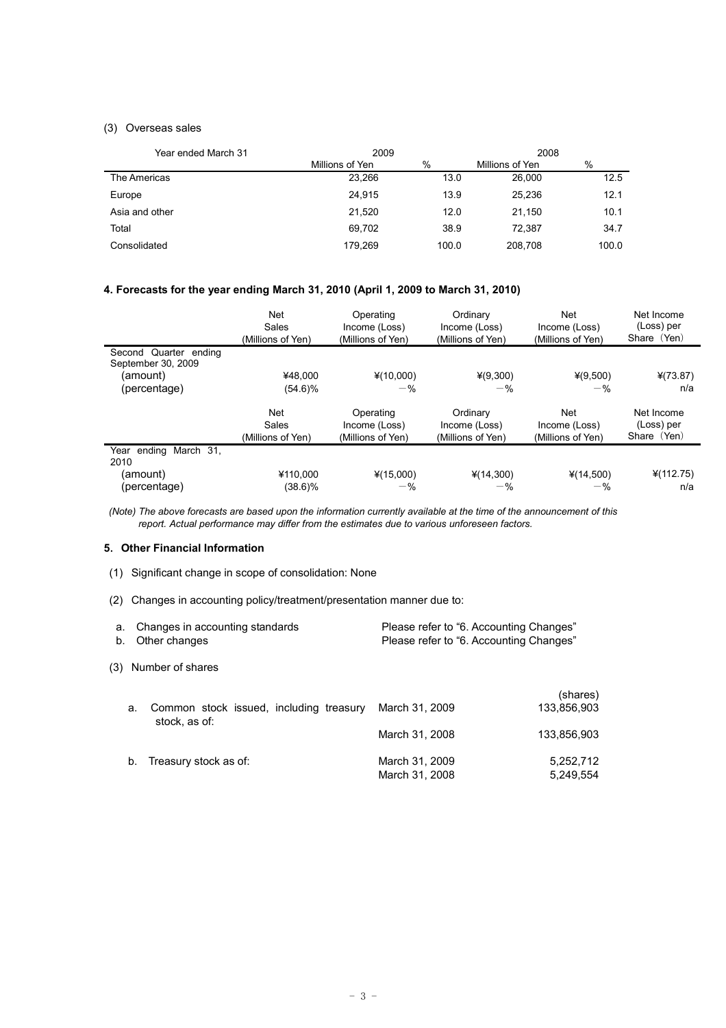## (3) Overseas sales

| Year ended March 31 | 2009            |       | 2008            |       |
|---------------------|-----------------|-------|-----------------|-------|
|                     | Millions of Yen | %     | Millions of Yen | %     |
| The Americas        | 23,266          | 13.0  | 26,000          | 12.5  |
| Europe              | 24,915          | 13.9  | 25.236          | 12.1  |
| Asia and other      | 21,520          | 12.0  | 21.150          | 10.1  |
| Total               | 69.702          | 38.9  | 72.387          | 34.7  |
| Consolidated        | 179.269         | 100.0 | 208.708         | 100.0 |

## **4. Forecasts for the year ending March 31, 2010 (April 1, 2009 to March 31, 2010)**

|                                             | <b>Net</b><br>Sales<br>(Millions of Yen) | Operating<br>Income (Loss)<br>(Millions of Yen) | Ordinary<br>Income (Loss)<br>(Millions of Yen) | <b>Net</b><br>Income (Loss)<br>(Millions of Yen) | Net Income<br>(Loss) per<br>Share (Yen) |
|---------------------------------------------|------------------------------------------|-------------------------------------------------|------------------------------------------------|--------------------------------------------------|-----------------------------------------|
| Second Quarter ending<br>September 30, 2009 |                                          |                                                 |                                                |                                                  |                                         |
| (amount)                                    | ¥48.000                                  | $*(10,000)$                                     | $*(9,300)$                                     | $*(9,500)$                                       | $*(73.87)$                              |
| (percentage)                                | $(54.6)\%$                               | $-$ %                                           | $-$ %                                          | $-$ %                                            | n/a                                     |
|                                             | <b>Net</b><br>Sales<br>(Millions of Yen) | Operating<br>Income (Loss)<br>(Millions of Yen) | Ordinary<br>Income (Loss)<br>(Millions of Yen) | <b>Net</b><br>Income (Loss)<br>(Millions of Yen) | Net Income<br>(Loss) per<br>Share (Yen) |
| Year ending March 31,<br>2010               |                                          |                                                 |                                                |                                                  |                                         |
| (amount)                                    | ¥110.000                                 | $*(15,000)$                                     | ¥(14,300)                                      | ¥(14,500)                                        | 4(112.75)                               |
| (percentage)                                | (38.6)%                                  | $-$ %                                           | $-$ %                                          | $-$ %                                            | n/a                                     |

*(Note) The above forecasts are based upon the information currently available at the time of the announcement of this report. Actual performance may differ from the estimates due to various unforeseen factors.*

#### **5**.**Other Financial Information**

- (1) Significant change in scope of consolidation: None
- (2) Changes in accounting policy/treatment/presentation manner due to:

| a. Changes in accounting standards | Please refer to "6. Accounting Changes" |
|------------------------------------|-----------------------------------------|
| b. Other changes                   | Please refer to "6. Accounting Changes" |

(3) Number of shares

| а. | Common stock issued, including treasury<br>stock, as of: | March 31, 2009                   | (shares)<br>133,856,903 |
|----|----------------------------------------------------------|----------------------------------|-------------------------|
|    |                                                          | March 31, 2008                   | 133,856,903             |
| b. | Treasury stock as of:                                    | March 31, 2009<br>March 31, 2008 | 5,252,712<br>5,249,554  |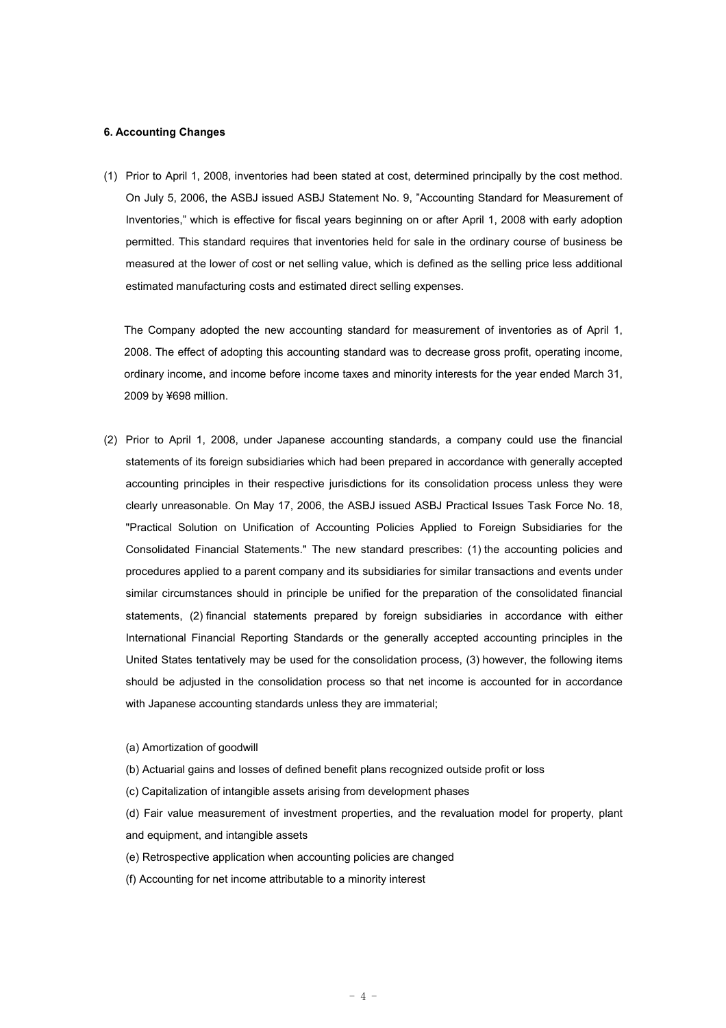#### **6. Accounting Changes**

(1) Prior to April 1, 2008, inventories had been stated at cost, determined principally by the cost method. On July 5, 2006, the ASBJ issued ASBJ Statement No. 9, "Accounting Standard for Measurement of Inventories," which is effective for fiscal years beginning on or after April 1, 2008 with early adoption permitted. This standard requires that inventories held for sale in the ordinary course of business be measured at the lower of cost or net selling value, which is defined as the selling price less additional estimated manufacturing costs and estimated direct selling expenses.

The Company adopted the new accounting standard for measurement of inventories as of April 1, 2008. The effect of adopting this accounting standard was to decrease gross profit, operating income, ordinary income, and income before income taxes and minority interests for the year ended March 31, 2009 by ¥698 million.

- (2) Prior to April 1, 2008, under Japanese accounting standards, a company could use the financial statements of its foreign subsidiaries which had been prepared in accordance with generally accepted accounting principles in their respective jurisdictions for its consolidation process unless they were clearly unreasonable. On May 17, 2006, the ASBJ issued ASBJ Practical Issues Task Force No. 18, "Practical Solution on Unification of Accounting Policies Applied to Foreign Subsidiaries for the Consolidated Financial Statements." The new standard prescribes: (1) the accounting policies and procedures applied to a parent company and its subsidiaries for similar transactions and events under similar circumstances should in principle be unified for the preparation of the consolidated financial statements, (2) financial statements prepared by foreign subsidiaries in accordance with either International Financial Reporting Standards or the generally accepted accounting principles in the United States tentatively may be used for the consolidation process, (3) however, the following items should be adjusted in the consolidation process so that net income is accounted for in accordance with Japanese accounting standards unless they are immaterial;
	- (a) Amortization of goodwill
	- (b) Actuarial gains and losses of defined benefit plans recognized outside profit or loss
	- (c) Capitalization of intangible assets arising from development phases
	- (d) Fair value measurement of investment properties, and the revaluation model for property, plant and equipment, and intangible assets
	- (e) Retrospective application when accounting policies are changed
	- (f) Accounting for net income attributable to a minority interest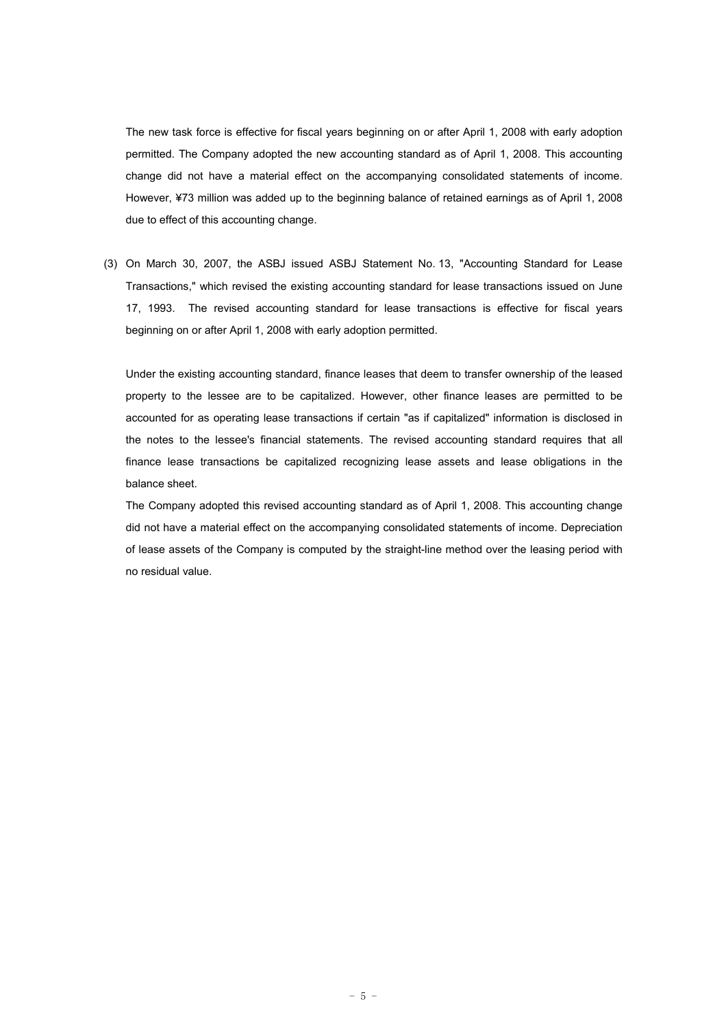The new task force is effective for fiscal years beginning on or after April 1, 2008 with early adoption permitted. The Company adopted the new accounting standard as of April 1, 2008. This accounting change did not have a material effect on the accompanying consolidated statements of income. However, ¥73 million was added up to the beginning balance of retained earnings as of April 1, 2008 due to effect of this accounting change.

(3) On March 30, 2007, the ASBJ issued ASBJ Statement No. 13, "Accounting Standard for Lease Transactions," which revised the existing accounting standard for lease transactions issued on June 17, 1993. The revised accounting standard for lease transactions is effective for fiscal years beginning on or after April 1, 2008 with early adoption permitted.

Under the existing accounting standard, finance leases that deem to transfer ownership of the leased property to the lessee are to be capitalized. However, other finance leases are permitted to be accounted for as operating lease transactions if certain "as if capitalized" information is disclosed in the notes to the lessee's financial statements. The revised accounting standard requires that all finance lease transactions be capitalized recognizing lease assets and lease obligations in the balance sheet.

The Company adopted this revised accounting standard as of April 1, 2008. This accounting change did not have a material effect on the accompanying consolidated statements of income. Depreciation of lease assets of the Company is computed by the straight-line method over the leasing period with no residual value.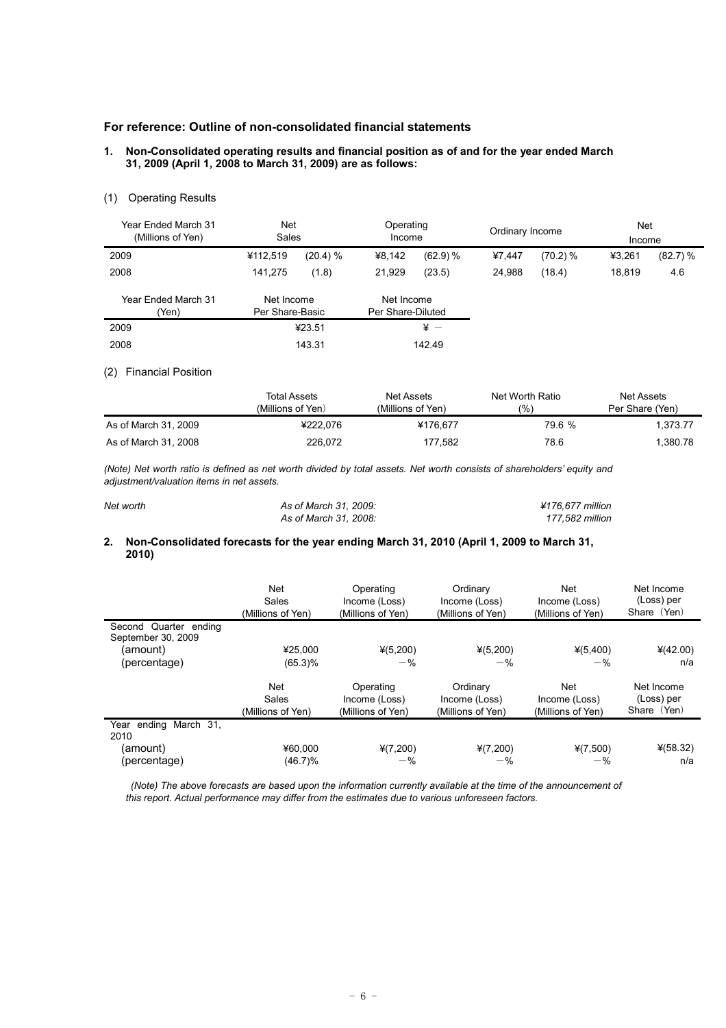## **For reference: Outline of non-consolidated financial statements**

#### **1. Non-Consolidated operating results and financial position as of and for the year ended March 31, 2009 (April 1, 2008 to March 31, 2009) are as follows:**

## (1) Operating Results

| Year Ended March 31<br>(Millions of Yen) | <b>Net</b><br>Sales           |          | Operating<br>Income             |            | Ordinary Income |          | <b>Net</b><br>Income |          |
|------------------------------------------|-------------------------------|----------|---------------------------------|------------|-----------------|----------|----------------------|----------|
| 2009                                     | ¥112,519                      | (20.4) % | ¥8,142                          | (62.9) %   | ¥7.447          | (70.2) % | ¥3,261               | (82.7) % |
| 2008                                     | 141.275                       | (1.8)    | 21,929                          | (23.5)     | 24,988          | (18.4)   | 18.819               | 4.6      |
| Year Ended March 31<br>(Yen)             | Net Income<br>Per Share-Basic |          | Net Income<br>Per Share-Diluted |            |                 |          |                      |          |
| 2009                                     |                               | ¥23.51   |                                 | $\angle$ + |                 |          |                      |          |
| 2008                                     |                               | 143.31   |                                 | 142.49     |                 |          |                      |          |

#### (2) Financial Position

|                      | Total Assets<br>(Millions of Yen) | Net Assets<br>(Millions of Yen) | Net Worth Ratio<br>(%) | Net Assets<br>Per Share (Yen) |
|----------------------|-----------------------------------|---------------------------------|------------------------|-------------------------------|
| As of March 31, 2009 | ¥222.076                          | ¥176.677                        | 79.6 %                 | 1.373.77                      |
| As of March 31, 2008 | 226.072                           | 177.582                         | 78.6                   | 1,380.78                      |

*(Note) Net worth ratio is defined as net worth divided by total assets. Net worth consists of shareholders' equity and adjustment/valuation items in net assets.*

| Net worth | As of March 31, 2009: | ¥176.677 million |
|-----------|-----------------------|------------------|
|           | As of March 31, 2008: | 177.582 million  |

## **2. Non-Consolidated forecasts for the year ending March 31, 2010 (April 1, 2009 to March 31, 2010)**

|                                             | Net<br>Sales<br>(Millions of Yen)        | Operating<br>Income (Loss)<br>(Millions of Yen) | Ordinary<br>Income (Loss)<br>(Millions of Yen) | Net<br>Income (Loss)<br>(Millions of Yen) | Net Income<br>(Loss) per<br>Share (Yen) |
|---------------------------------------------|------------------------------------------|-------------------------------------------------|------------------------------------------------|-------------------------------------------|-----------------------------------------|
| Second Quarter ending<br>September 30, 2009 |                                          |                                                 |                                                |                                           |                                         |
| (amount)                                    | ¥25.000                                  | $*(5,200)$                                      | $*(5,200)$                                     | ¥(5,400)                                  | $*(42.00)$                              |
| (percentage)                                | $(65.3)\%$                               | $-$ %                                           | $-$ %                                          | $-$ %                                     | n/a                                     |
|                                             | <b>Net</b><br>Sales<br>(Millions of Yen) | Operating<br>Income (Loss)<br>(Millions of Yen) | Ordinary<br>Income (Loss)<br>(Millions of Yen) | Net<br>Income (Loss)<br>(Millions of Yen) | Net Income<br>(Loss) per<br>Share (Yen) |
| Year ending March 31,<br>2010               |                                          |                                                 |                                                |                                           |                                         |
| (amount)<br>(percentage)                    | ¥60.000<br>$(46.7)\%$                    | $*(7,200)$<br>$-$ %                             | $*(7,200)$<br>$-$ %                            | ¥(7,500)<br>$-$ %                         | $*(58.32)$<br>n/a                       |

*(Note) The above forecasts are based upon the information currently available at the time of the announcement of this report. Actual performance may differ from the estimates due to various unforeseen factors.*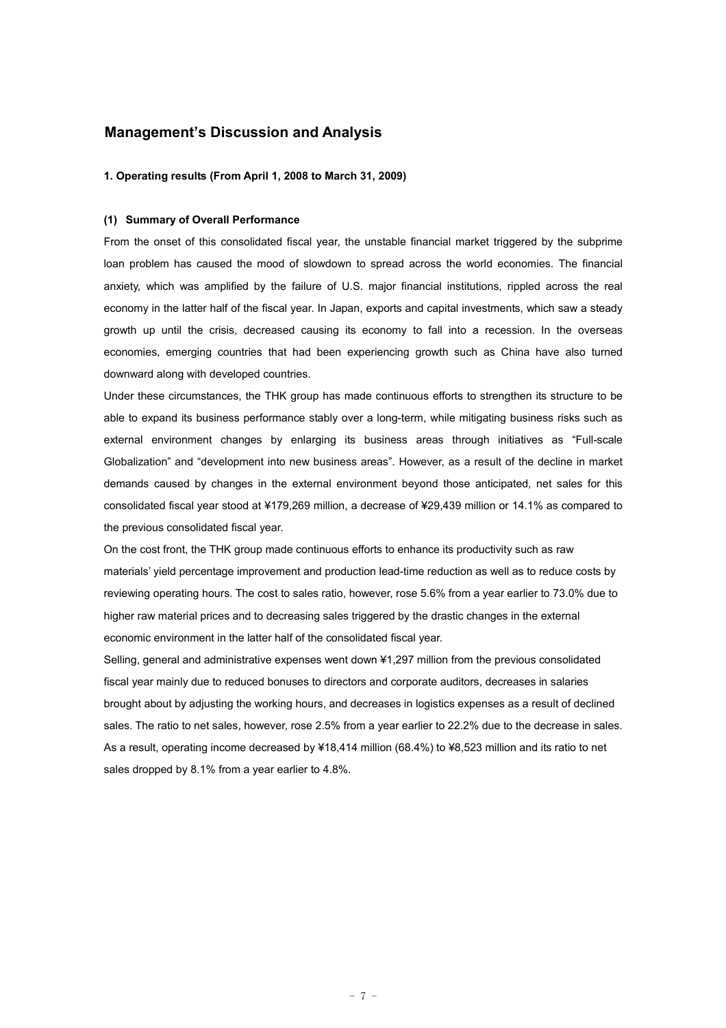## **Management's Discussion and Analysis**

#### **1. Operating results (From April 1, 2008 to March 31, 2009)**

### **(1) Summary of Overall Performance**

From the onset of this consolidated fiscal year, the unstable financial market triggered by the subprime loan problem has caused the mood of slowdown to spread across the world economies. The financial anxiety, which was amplified by the failure of U.S. major financial institutions, rippled across the real economy in the latter half of the fiscal year. In Japan, exports and capital investments, which saw a steady growth up until the crisis, decreased causing its economy to fall into a recession. In the overseas economies, emerging countries that had been experiencing growth such as China have also turned downward along with developed countries.

Under these circumstances, the THK group has made continuous efforts to strengthen its structure to be able to expand its business performance stably over a long-term, while mitigating business risks such as external environment changes by enlarging its business areas through initiatives as "Full-scale Globalization" and "development into new business areas". However, as a result of the decline in market demands caused by changes in the external environment beyond those anticipated, net sales for this consolidated fiscal year stood at ¥179,269 million, a decrease of ¥29,439 million or 14.1% as compared to the previous consolidated fiscal year.

On the cost front, the THK group made continuous efforts to enhance its productivity such as raw materials' yield percentage improvement and production lead-time reduction as well as to reduce costs by reviewing operating hours. The cost to sales ratio, however, rose 5.6% from a year earlier to 73.0% due to higher raw material prices and to decreasing sales triggered by the drastic changes in the external economic environment in the latter half of the consolidated fiscal year.

Selling, general and administrative expenses went down ¥1,297 million from the previous consolidated fiscal year mainly due to reduced bonuses to directors and corporate auditors, decreases in salaries brought about by adjusting the working hours, and decreases in logistics expenses as a result of declined sales. The ratio to net sales, however, rose 2.5% from a year earlier to 22.2% due to the decrease in sales. As a result, operating income decreased by ¥18,414 million (68.4%) to ¥8,523 million and its ratio to net sales dropped by 8.1% from a year earlier to 4.8%.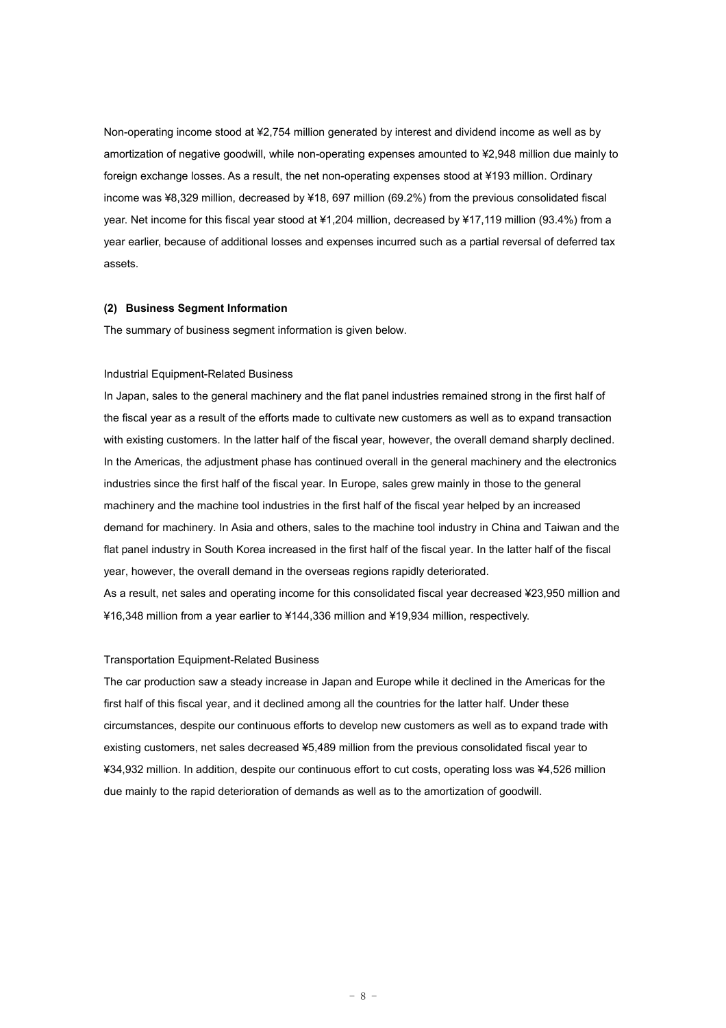Non-operating income stood at ¥2,754 million generated by interest and dividend income as well as by amortization of negative goodwill, while non-operating expenses amounted to ¥2,948 million due mainly to foreign exchange losses. As a result, the net non-operating expenses stood at ¥193 million. Ordinary income was ¥8,329 million, decreased by ¥18, 697 million (69.2%) from the previous consolidated fiscal year. Net income for this fiscal year stood at ¥1,204 million, decreased by ¥17,119 million (93.4%) from a year earlier, because of additional losses and expenses incurred such as a partial reversal of deferred tax assets.

#### **(2) Business Segment Information**

The summary of business segment information is given below.

#### Industrial Equipment-Related Business

In Japan, sales to the general machinery and the flat panel industries remained strong in the first half of the fiscal year as a result of the efforts made to cultivate new customers as well as to expand transaction with existing customers. In the latter half of the fiscal year, however, the overall demand sharply declined. In the Americas, the adjustment phase has continued overall in the general machinery and the electronics industries since the first half of the fiscal year. In Europe, sales grew mainly in those to the general machinery and the machine tool industries in the first half of the fiscal year helped by an increased demand for machinery. In Asia and others, sales to the machine tool industry in China and Taiwan and the flat panel industry in South Korea increased in the first half of the fiscal year. In the latter half of the fiscal year, however, the overall demand in the overseas regions rapidly deteriorated.

As a result, net sales and operating income for this consolidated fiscal year decreased ¥23,950 million and ¥16,348 million from a year earlier to ¥144,336 million and ¥19,934 million, respectively.

#### Transportation Equipment-Related Business

The car production saw a steady increase in Japan and Europe while it declined in the Americas for the first half of this fiscal year, and it declined among all the countries for the latter half. Under these circumstances, despite our continuous efforts to develop new customers as well as to expand trade with existing customers, net sales decreased ¥5,489 million from the previous consolidated fiscal year to ¥34,932 million. In addition, despite our continuous effort to cut costs, operating loss was ¥4,526 million due mainly to the rapid deterioration of demands as well as to the amortization of goodwill.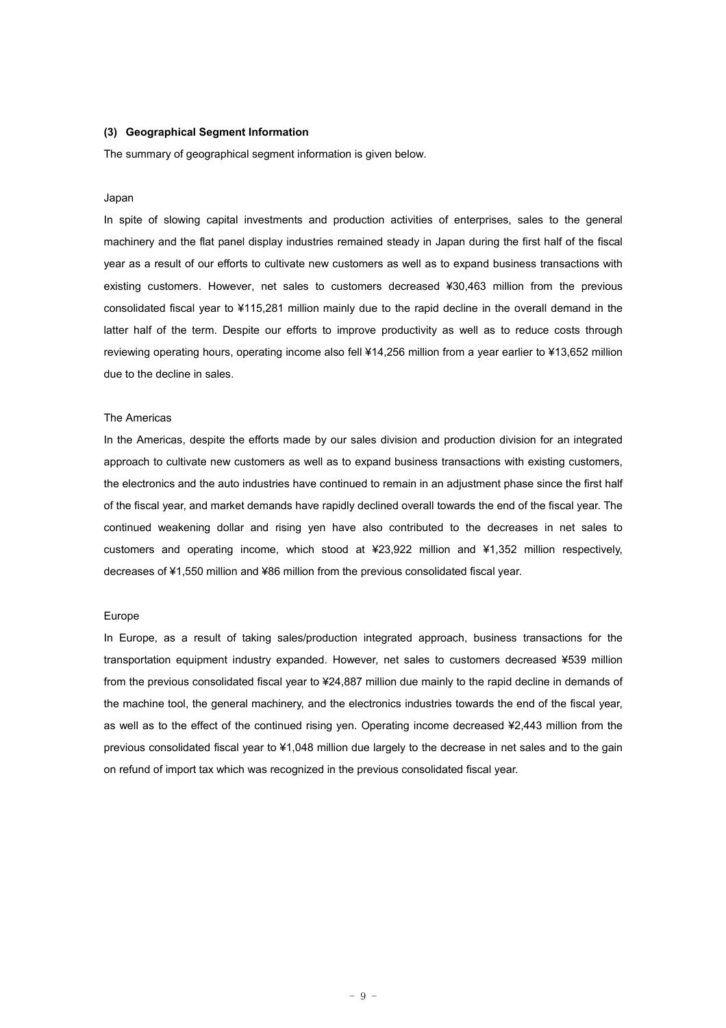#### **(3) Geographical Segment Information**

The summary of geographical segment information is given below.

#### Japan

In spite of slowing capital investments and production activities of enterprises, sales to the general machinery and the flat panel display industries remained steady in Japan during the first half of the fiscal year as a result of our efforts to cultivate new customers as well as to expand business transactions with existing customers. However, net sales to customers decreased ¥30,463 million from the previous consolidated fiscal year to ¥115,281 million mainly due to the rapid decline in the overall demand in the latter half of the term. Despite our efforts to improve productivity as well as to reduce costs through reviewing operating hours, operating income also fell ¥14,256 million from a year earlier to ¥13,652 million due to the decline in sales.

#### The Americas

In the Americas, despite the efforts made by our sales division and production division for an integrated approach to cultivate new customers as well as to expand business transactions with existing customers, the electronics and the auto industries have continued to remain in an adjustment phase since the first half of the fiscal year, and market demands have rapidly declined overall towards the end of the fiscal year. The continued weakening dollar and rising yen have also contributed to the decreases in net sales to customers and operating income, which stood at ¥23,922 million and ¥1,352 million respectively, decreases of ¥1,550 million and ¥86 million from the previous consolidated fiscal year.

#### Europe

In Europe, as a result of taking sales/production integrated approach, business transactions for the transportation equipment industry expanded. However, net sales to customers decreased ¥539 million from the previous consolidated fiscal year to ¥24,887 million due mainly to the rapid decline in demands of the machine tool, the general machinery, and the electronics industries towards the end of the fiscal year, as well as to the effect of the continued rising yen. Operating income decreased ¥2,443 million from the previous consolidated fiscal year to ¥1,048 million due largely to the decrease in net sales and to the gain on refund of import tax which was recognized in the previous consolidated fiscal year.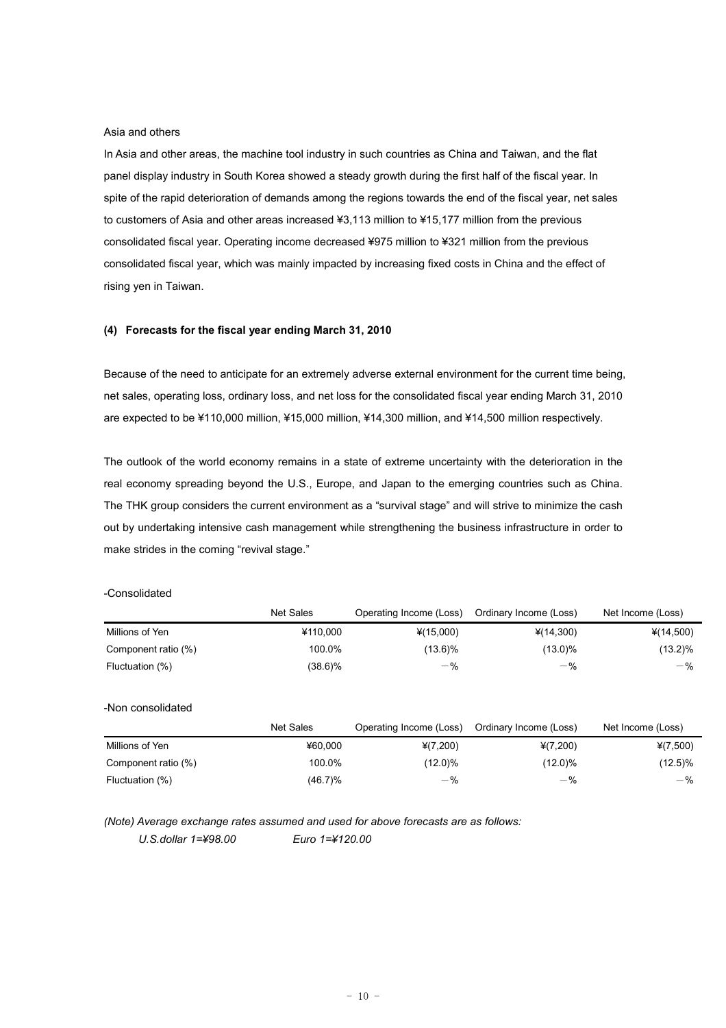#### Asia and others

In Asia and other areas, the machine tool industry in such countries as China and Taiwan, and the flat panel display industry in South Korea showed a steady growth during the first half of the fiscal year. In spite of the rapid deterioration of demands among the regions towards the end of the fiscal year, net sales to customers of Asia and other areas increased ¥3,113 million to ¥15,177 million from the previous consolidated fiscal year. Operating income decreased ¥975 million to ¥321 million from the previous consolidated fiscal year, which was mainly impacted by increasing fixed costs in China and the effect of rising yen in Taiwan.

### **(4) Forecasts for the fiscal year ending March 31, 2010**

Because of the need to anticipate for an extremely adverse external environment for the current time being, net sales, operating loss, ordinary loss, and net loss for the consolidated fiscal year ending March 31, 2010 are expected to be ¥110,000 million, ¥15,000 million, ¥14,300 million, and ¥14,500 million respectively.

The outlook of the world economy remains in a state of extreme uncertainty with the deterioration in the real economy spreading beyond the U.S., Europe, and Japan to the emerging countries such as China. The THK group considers the current environment as a "survival stage" and will strive to minimize the cash out by undertaking intensive cash management while strengthening the business infrastructure in order to make strides in the coming "revival stage."

### -Consolidated

|                     | <b>Net Sales</b> | Operating Income (Loss) | Ordinary Income (Loss) | Net Income (Loss) |
|---------------------|------------------|-------------------------|------------------------|-------------------|
| Millions of Yen     | ¥110.000         | $*(15,000)$             | $*(14,300)$            | ¥(14,500)         |
| Component ratio (%) | 100.0%           | $(13.6)\%$              | $(13.0)\%$             | $(13.2)\%$        |
| Fluctuation (%)     | (38.6)%          | $-$ %                   | $-$ %                  | $-$ %             |
| -Non consolidated   |                  |                         |                        |                   |
|                     | <b>Net Sales</b> | Operating Income (Loss) | Ordinary Income (Loss) | Net Income (Loss) |
| Millions of Yen     | ¥60.000          | $*(7,200)$              | $*(7,200)$             | $*(7,500)$        |
| Component ratio (%) | 100.0%           | $(12.0)\%$              | $(12.0)\%$             | $(12.5)\%$        |
| Fluctuation (%)     | $(46.7)\%$       | $-$ %                   | $-$ %                  | $-$ %             |

*(Note) Average exchange rates assumed and used for above forecasts are as follows:*

*U.S.dollar 1=¥98.00 Euro 1=¥120.00*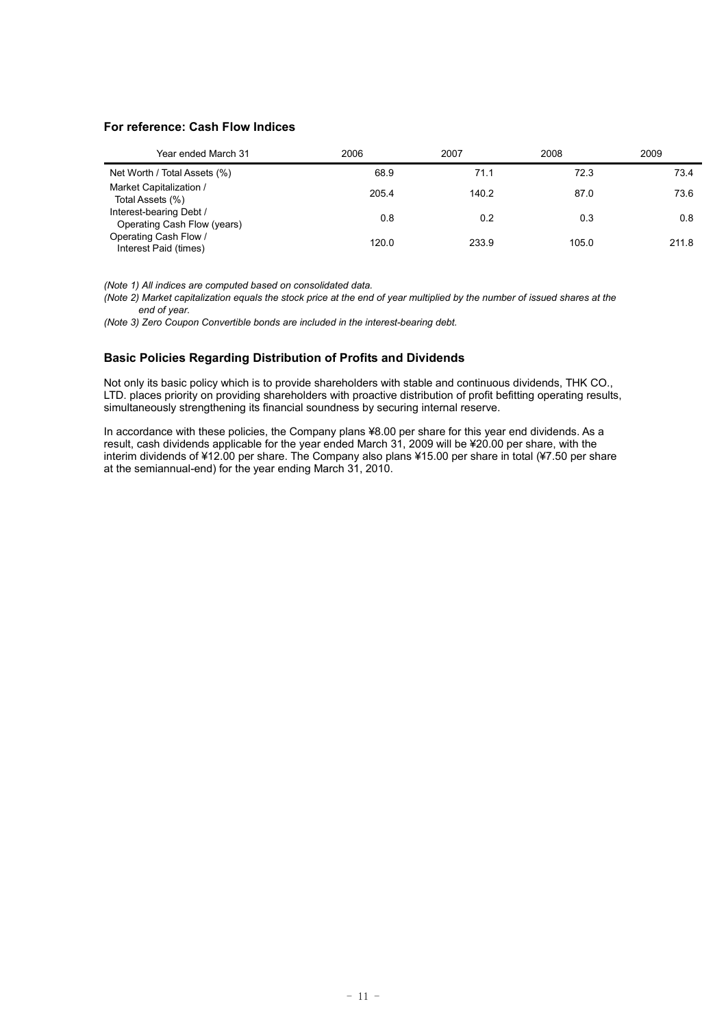## **For reference: Cash Flow Indices**

| Year ended March 31                                    | 2006  | 2007  | 2008  | 2009  |
|--------------------------------------------------------|-------|-------|-------|-------|
| Net Worth / Total Assets (%)                           | 68.9  | 71.1  | 72.3  | 73.4  |
| Market Capitalization /<br>Total Assets (%)            | 205.4 | 140.2 | 87.0  | 73.6  |
| Interest-bearing Debt /<br>Operating Cash Flow (years) | 0.8   | 0.2   | 0.3   | 0.8   |
| Operating Cash Flow /<br>Interest Paid (times)         | 120.0 | 233.9 | 105.0 | 211.8 |

*(Note 1) All indices are computed based on consolidated data.*

*(Note 2) Market capitalization equals the stock price at the end of year multiplied by the number of issued shares at the end of year.*

*(Note 3) Zero Coupon Convertible bonds are included in the interest-bearing debt.*

## **Basic Policies Regarding Distribution of Profits and Dividends**

Not only its basic policy which is to provide shareholders with stable and continuous dividends, THK CO., LTD. places priority on providing shareholders with proactive distribution of profit befitting operating results, simultaneously strengthening its financial soundness by securing internal reserve.

In accordance with these policies, the Company plans ¥8.00 per share for this year end dividends. As a result, cash dividends applicable for the year ended March 31, 2009 will be ¥20.00 per share, with the interim dividends of ¥12.00 per share. The Company also plans ¥15.00 per share in total (¥7.50 per share at the semiannual-end) for the year ending March 31, 2010.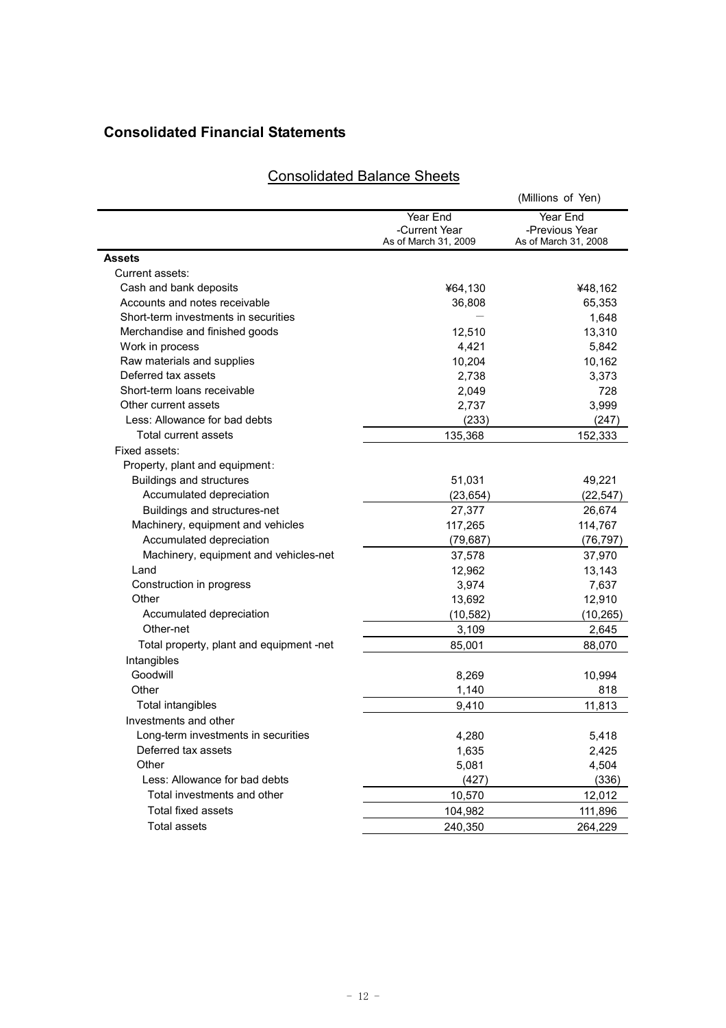# **Consolidated Financial Statements**

|                                          |                                                   | (Millions of Yen)                                  |
|------------------------------------------|---------------------------------------------------|----------------------------------------------------|
|                                          | Year End<br>-Current Year<br>As of March 31, 2009 | Year End<br>-Previous Year<br>As of March 31, 2008 |
| <b>Assets</b>                            |                                                   |                                                    |
| Current assets:                          |                                                   |                                                    |
| Cash and bank deposits                   | ¥64,130                                           | ¥48,162                                            |
| Accounts and notes receivable            | 36,808                                            | 65,353                                             |
| Short-term investments in securities     |                                                   | 1,648                                              |
| Merchandise and finished goods           | 12.510                                            | 13,310                                             |
| Work in process                          | 4,421                                             | 5,842                                              |
| Raw materials and supplies               | 10,204                                            | 10,162                                             |
| Deferred tax assets                      | 2,738                                             | 3,373                                              |
| Short-term loans receivable              | 2,049                                             | 728                                                |
| Other current assets                     | 2,737                                             | 3,999                                              |
| Less: Allowance for bad debts            | (233)                                             | (247)                                              |
| Total current assets                     | 135,368                                           | 152,333                                            |
| Fixed assets:                            |                                                   |                                                    |
| Property, plant and equipment:           |                                                   |                                                    |
| Buildings and structures                 | 51,031                                            | 49,221                                             |
| Accumulated depreciation                 | (23, 654)                                         | (22, 547)                                          |
| Buildings and structures-net             | 27,377                                            | 26,674                                             |
| Machinery, equipment and vehicles        | 117,265                                           | 114,767                                            |
| Accumulated depreciation                 | (79, 687)                                         | (76, 797)                                          |
| Machinery, equipment and vehicles-net    | 37,578                                            | 37,970                                             |
| Land                                     | 12,962                                            | 13,143                                             |
| Construction in progress                 | 3,974                                             | 7,637                                              |
| Other                                    | 13,692                                            | 12,910                                             |
| Accumulated depreciation                 | (10,582)                                          | (10, 265)                                          |
| Other-net                                | 3,109                                             | 2,645                                              |
| Total property, plant and equipment -net | 85,001                                            | 88,070                                             |
| Intangibles                              |                                                   |                                                    |
| Goodwill                                 | 8,269                                             | 10,994                                             |
| Other                                    | 1,140                                             | 818                                                |
| Total intangibles                        | 9,410                                             | 11,813                                             |
| Investments and other                    |                                                   |                                                    |
| Long-term investments in securities      | 4,280                                             | 5,418                                              |
| Deferred tax assets                      | 1,635                                             | 2,425                                              |
| Other                                    | 5,081                                             | 4,504                                              |
| Less: Allowance for bad debts            | (427)                                             | (336)                                              |
| Total investments and other              | 10,570                                            | 12,012                                             |
| Total fixed assets                       | 104,982                                           | 111,896                                            |
| <b>Total assets</b>                      | 240,350                                           | 264,229                                            |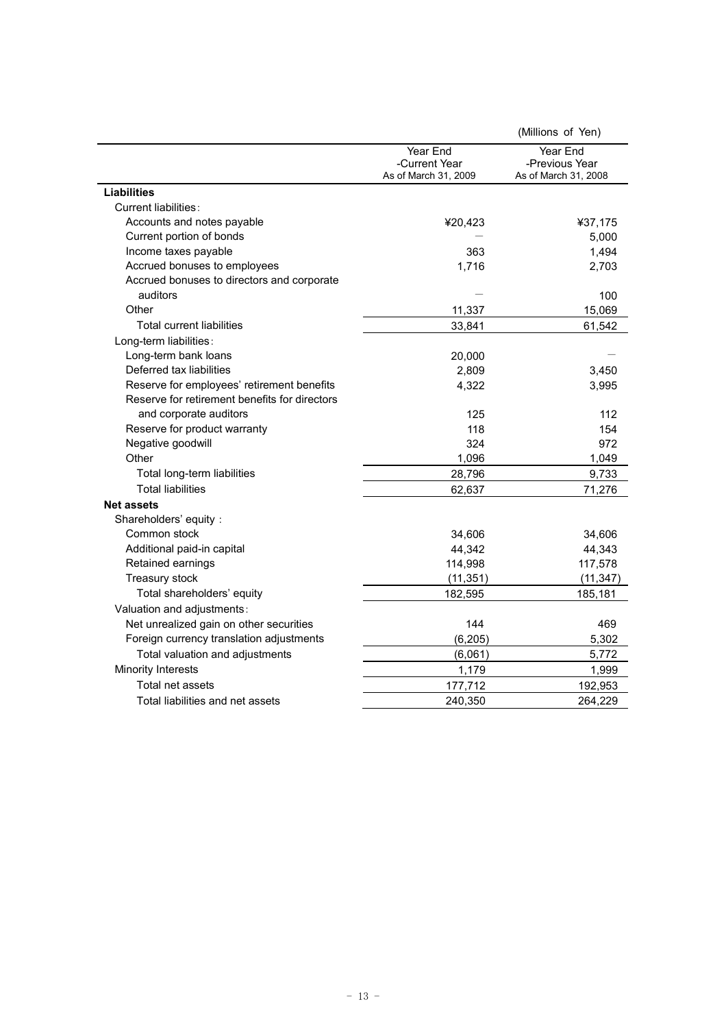|                                               |                                                   | (Millions of Yen)                                  |
|-----------------------------------------------|---------------------------------------------------|----------------------------------------------------|
|                                               | Year End<br>-Current Year<br>As of March 31, 2009 | Year End<br>-Previous Year<br>As of March 31, 2008 |
| <b>Liabilities</b>                            |                                                   |                                                    |
| Current liabilities:                          |                                                   |                                                    |
| Accounts and notes payable                    | ¥20,423                                           | ¥37,175                                            |
| Current portion of bonds                      |                                                   | 5,000                                              |
| Income taxes payable                          | 363                                               | 1,494                                              |
| Accrued bonuses to employees                  | 1,716                                             | 2,703                                              |
| Accrued bonuses to directors and corporate    |                                                   |                                                    |
| auditors                                      |                                                   | 100                                                |
| Other                                         | 11,337                                            | 15,069                                             |
| Total current liabilities                     | 33,841                                            | 61,542                                             |
| Long-term liabilities:                        |                                                   |                                                    |
| Long-term bank loans                          | 20,000                                            |                                                    |
| Deferred tax liabilities                      | 2,809                                             | 3,450                                              |
| Reserve for employees' retirement benefits    | 4,322                                             | 3,995                                              |
| Reserve for retirement benefits for directors |                                                   |                                                    |
| and corporate auditors                        | 125                                               | 112                                                |
| Reserve for product warranty                  | 118                                               | 154                                                |
| Negative goodwill                             | 324                                               | 972                                                |
| Other                                         | 1,096                                             | 1,049                                              |
| Total long-term liabilities                   | 28,796                                            | 9,733                                              |
| <b>Total liabilities</b>                      | 62,637                                            | 71,276                                             |
| <b>Net assets</b>                             |                                                   |                                                    |
| Shareholders' equity:                         |                                                   |                                                    |
| Common stock                                  | 34,606                                            | 34,606                                             |
| Additional paid-in capital                    | 44,342                                            | 44,343                                             |
| Retained earnings                             | 114,998                                           | 117,578                                            |
| Treasury stock                                | (11, 351)                                         | (11, 347)                                          |
| Total shareholders' equity                    | 182,595                                           | 185,181                                            |
| Valuation and adjustments:                    |                                                   |                                                    |
| Net unrealized gain on other securities       | 144                                               | 469                                                |
| Foreign currency translation adjustments      | (6, 205)                                          | 5,302                                              |
| Total valuation and adjustments               | (6,061)                                           | 5,772                                              |
| <b>Minority Interests</b>                     | 1,179                                             | 1,999                                              |
| Total net assets                              | 177,712                                           | 192,953                                            |
| Total liabilities and net assets              | 240,350                                           | 264,229                                            |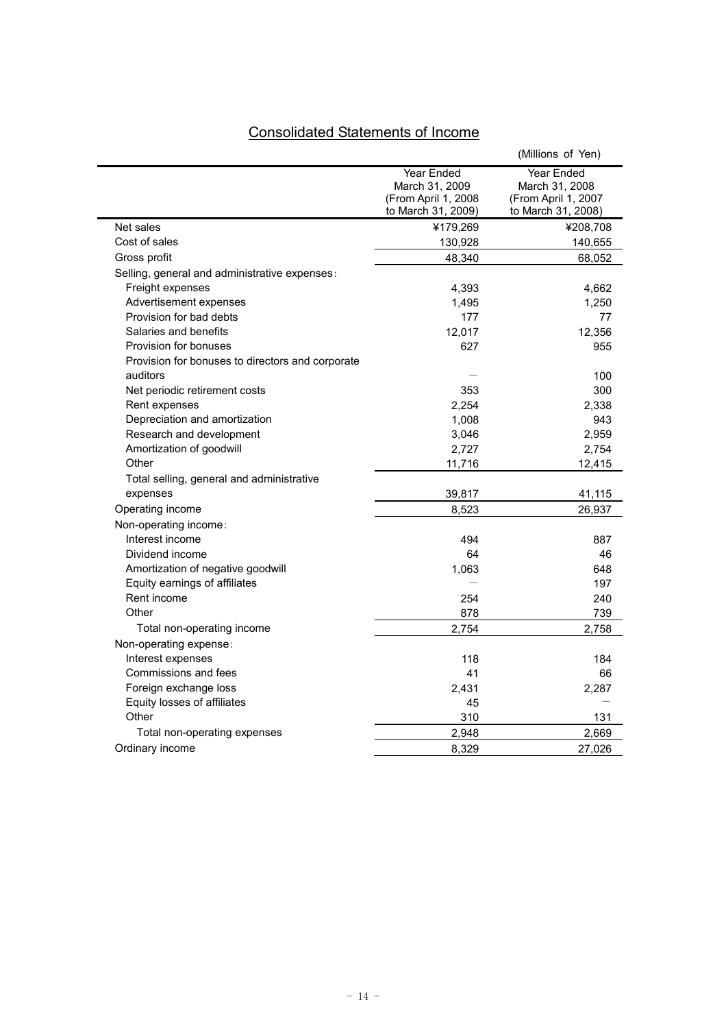# Consolidated Statements of Income

|                                                  |                                                                                  | (Millions of Yen)                                                                |
|--------------------------------------------------|----------------------------------------------------------------------------------|----------------------------------------------------------------------------------|
|                                                  | <b>Year Ended</b><br>March 31, 2009<br>(From April 1, 2008<br>to March 31, 2009) | <b>Year Ended</b><br>March 31, 2008<br>(From April 1, 2007<br>to March 31, 2008) |
| Net sales                                        | ¥179,269                                                                         | ¥208,708                                                                         |
| Cost of sales                                    | 130,928                                                                          | 140,655                                                                          |
| Gross profit                                     | 48,340                                                                           | 68,052                                                                           |
| Selling, general and administrative expenses:    |                                                                                  |                                                                                  |
| Freight expenses                                 | 4,393                                                                            | 4,662                                                                            |
| Advertisement expenses                           | 1,495                                                                            | 1,250                                                                            |
| Provision for bad debts                          | 177                                                                              | 77                                                                               |
| Salaries and benefits                            | 12,017                                                                           | 12,356                                                                           |
| Provision for bonuses                            | 627                                                                              | 955                                                                              |
| Provision for bonuses to directors and corporate |                                                                                  |                                                                                  |
| auditors                                         |                                                                                  | 100                                                                              |
| Net periodic retirement costs                    | 353                                                                              | 300                                                                              |
| Rent expenses                                    | 2,254                                                                            | 2,338                                                                            |
| Depreciation and amortization                    | 1,008                                                                            | 943                                                                              |
| Research and development                         | 3,046                                                                            | 2,959                                                                            |
| Amortization of goodwill                         | 2,727                                                                            | 2,754                                                                            |
| Other                                            | 11,716                                                                           | 12,415                                                                           |
| Total selling, general and administrative        |                                                                                  |                                                                                  |
| expenses                                         | 39,817                                                                           | 41,115                                                                           |
| Operating income                                 | 8,523                                                                            | 26,937                                                                           |
| Non-operating income:                            |                                                                                  |                                                                                  |
| Interest income                                  | 494                                                                              | 887                                                                              |
| Dividend income                                  | 64                                                                               | 46                                                                               |
| Amortization of negative goodwill                | 1,063                                                                            | 648                                                                              |
| Equity earnings of affiliates                    |                                                                                  | 197                                                                              |
| Rent income                                      | 254                                                                              | 240                                                                              |
| Other                                            | 878                                                                              | 739                                                                              |
| Total non-operating income                       | 2,754                                                                            | 2,758                                                                            |
| Non-operating expense:                           |                                                                                  |                                                                                  |
| Interest expenses                                | 118                                                                              | 184                                                                              |
| Commissions and fees                             | 41                                                                               | 66                                                                               |
| Foreign exchange loss                            | 2,431                                                                            | 2,287                                                                            |
| Equity losses of affiliates                      | 45                                                                               |                                                                                  |
| Other                                            | 310                                                                              | 131                                                                              |
| Total non-operating expenses                     | 2,948                                                                            | 2,669                                                                            |
| Ordinary income                                  | 8,329                                                                            | 27,026                                                                           |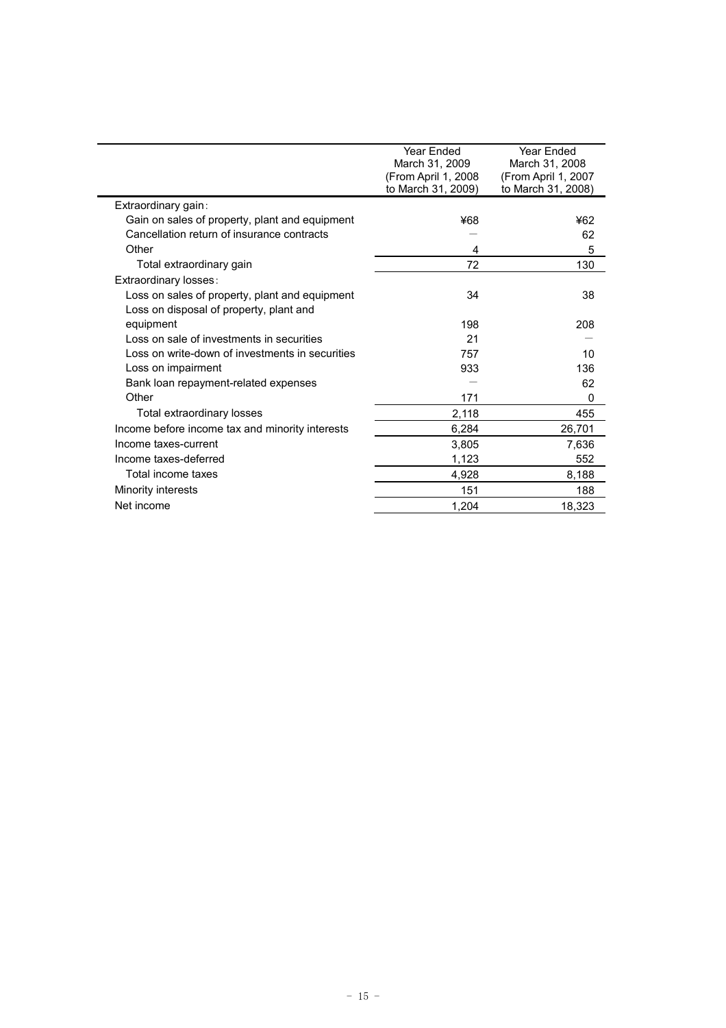|                                                 | Year Ended          | Year Ended          |
|-------------------------------------------------|---------------------|---------------------|
|                                                 | March 31, 2009      | March 31, 2008      |
|                                                 | (From April 1, 2008 | (From April 1, 2007 |
|                                                 | to March 31, 2009)  | to March 31, 2008)  |
| Extraordinary gain:                             |                     |                     |
| Gain on sales of property, plant and equipment  | ¥68                 | ¥62                 |
| Cancellation return of insurance contracts      |                     | 62                  |
| Other                                           | 4                   | 5                   |
| Total extraordinary gain                        | 72                  | 130                 |
| Extraordinary losses:                           |                     |                     |
| Loss on sales of property, plant and equipment  | 34                  | 38                  |
| Loss on disposal of property, plant and         |                     |                     |
| equipment                                       | 198                 | 208                 |
| Loss on sale of investments in securities       | 21                  |                     |
| Loss on write-down of investments in securities | 757                 | 10                  |
| Loss on impairment                              | 933                 | 136                 |
| Bank loan repayment-related expenses            |                     | 62                  |
| Other                                           | 171                 | 0                   |
| Total extraordinary losses                      | 2,118               | 455                 |
| Income before income tax and minority interests | 6,284               | 26,701              |
| Income taxes-current                            | 3,805               | 7,636               |
| Income taxes-deferred                           | 1,123               | 552                 |
| Total income taxes                              | 4,928               | 8,188               |
| <b>Minority interests</b>                       | 151                 | 188                 |
| Net income                                      | 1.204               | 18,323              |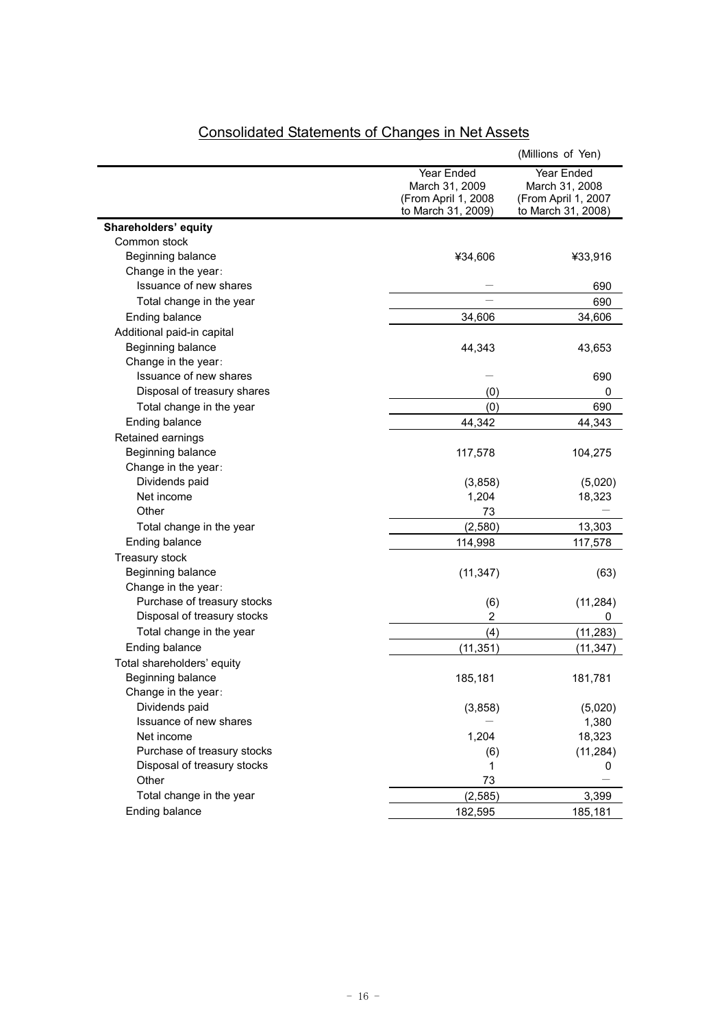|                             |                     | (Millions of Yen)   |
|-----------------------------|---------------------|---------------------|
|                             | Year Ended          | Year Ended          |
|                             | March 31, 2009      | March 31, 2008      |
|                             | (From April 1, 2008 | (From April 1, 2007 |
|                             | to March 31, 2009)  | to March 31, 2008)  |
| Shareholders' equity        |                     |                     |
| Common stock                |                     |                     |
| Beginning balance           | ¥34,606             | ¥33,916             |
| Change in the year:         |                     |                     |
| Issuance of new shares      |                     | 690                 |
| Total change in the year    |                     | 690                 |
| Ending balance              | 34,606              | 34,606              |
| Additional paid-in capital  |                     |                     |
| Beginning balance           | 44,343              | 43,653              |
| Change in the year:         |                     |                     |
| Issuance of new shares      |                     | 690                 |
| Disposal of treasury shares | (0)                 | 0                   |
| Total change in the year    | (0)                 | 690                 |
| Ending balance              | 44,342              | 44,343              |
| Retained earnings           |                     |                     |
| Beginning balance           | 117,578             | 104,275             |
| Change in the year:         |                     |                     |
| Dividends paid              | (3,858)             | (5,020)             |
| Net income                  | 1,204               | 18,323              |
| Other                       | 73                  |                     |
| Total change in the year    | (2,580)             | 13,303              |
| Ending balance              | 114,998             | 117,578             |
| Treasury stock              |                     |                     |
| Beginning balance           | (11, 347)           | (63)                |
| Change in the year:         |                     |                     |
| Purchase of treasury stocks | (6)                 | (11, 284)           |
| Disposal of treasury stocks | $\overline{c}$      | 0                   |
| Total change in the year    | (4)                 | (11, 283)           |
| Ending balance              | (11, 351)           | (11, 347)           |
| Total shareholders' equity  |                     |                     |
| Beginning balance           | 185,181             | 181,781             |
| Change in the year:         |                     |                     |
| Dividends paid              | (3,858)             | (5,020)             |
| Issuance of new shares      |                     | 1,380               |
| Net income                  | 1,204               | 18,323              |
| Purchase of treasury stocks | (6)                 | (11, 284)           |
| Disposal of treasury stocks | 1                   | 0                   |
| Other                       | 73                  |                     |
| Total change in the year    | (2, 585)            | 3,399               |
|                             |                     |                     |
| Ending balance              | 182,595             | 185,181             |

# Consolidated Statements of Changes in Net Assets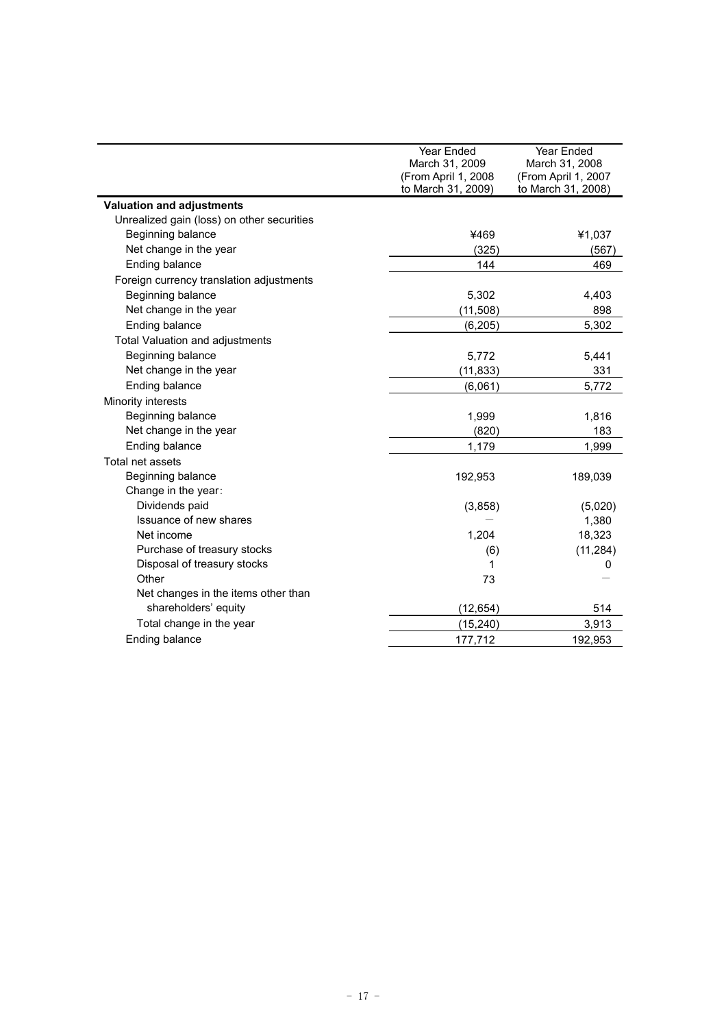|                                            | Year Ended<br>March 31, 2009<br>(From April 1, 2008<br>to March 31, 2009) | Year Ended<br>March 31, 2008<br>(From April 1, 2007<br>to March 31, 2008) |
|--------------------------------------------|---------------------------------------------------------------------------|---------------------------------------------------------------------------|
| <b>Valuation and adjustments</b>           |                                                                           |                                                                           |
| Unrealized gain (loss) on other securities |                                                                           |                                                                           |
| Beginning balance                          | ¥469                                                                      | ¥1,037                                                                    |
| Net change in the year                     | (325)                                                                     | (567)                                                                     |
| Ending balance                             | 144                                                                       | 469                                                                       |
| Foreign currency translation adjustments   |                                                                           |                                                                           |
| Beginning balance                          | 5,302                                                                     | 4,403                                                                     |
| Net change in the year                     | (11, 508)                                                                 | 898                                                                       |
| Ending balance                             | (6, 205)                                                                  | 5,302                                                                     |
| Total Valuation and adjustments            |                                                                           |                                                                           |
| Beginning balance                          | 5,772                                                                     | 5,441                                                                     |
| Net change in the year                     | (11, 833)                                                                 | 331                                                                       |
| Ending balance                             | (6,061)                                                                   | 5,772                                                                     |
| Minority interests                         |                                                                           |                                                                           |
| Beginning balance                          | 1,999                                                                     | 1,816                                                                     |
| Net change in the year                     | (820)                                                                     | 183                                                                       |
| Ending balance                             | 1,179                                                                     | 1,999                                                                     |
| Total net assets                           |                                                                           |                                                                           |
| Beginning balance                          | 192,953                                                                   | 189,039                                                                   |
| Change in the year:                        |                                                                           |                                                                           |
| Dividends paid                             | (3,858)                                                                   | (5,020)                                                                   |
| Issuance of new shares                     |                                                                           | 1,380                                                                     |
| Net income                                 | 1,204                                                                     | 18,323                                                                    |
| Purchase of treasury stocks                | (6)                                                                       | (11, 284)                                                                 |
| Disposal of treasury stocks                | 1                                                                         | 0                                                                         |
| Other                                      | 73                                                                        |                                                                           |
| Net changes in the items other than        |                                                                           |                                                                           |
| shareholders' equity                       | (12, 654)                                                                 | 514                                                                       |
| Total change in the year                   | (15, 240)                                                                 | 3,913                                                                     |
| Ending balance                             | 177,712                                                                   | 192,953                                                                   |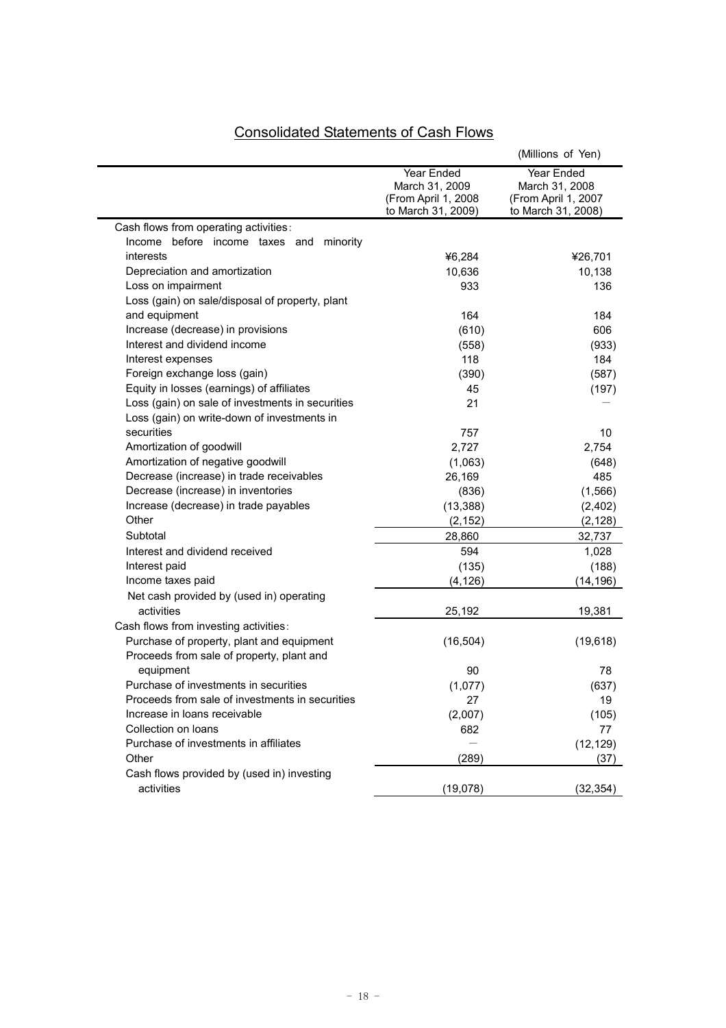# Consolidated Statements of Cash Flows

|                                                                                                 |                                                                           | (Millions of Yen)                                                         |
|-------------------------------------------------------------------------------------------------|---------------------------------------------------------------------------|---------------------------------------------------------------------------|
|                                                                                                 | Year Ended<br>March 31, 2009<br>(From April 1, 2008<br>to March 31, 2009) | Year Ended<br>March 31, 2008<br>(From April 1, 2007<br>to March 31, 2008) |
| Cash flows from operating activities:                                                           |                                                                           |                                                                           |
| Income before income taxes and minority                                                         |                                                                           |                                                                           |
| interests                                                                                       | ¥6,284                                                                    | ¥26,701                                                                   |
| Depreciation and amortization                                                                   | 10,636                                                                    | 10,138                                                                    |
| Loss on impairment                                                                              | 933                                                                       | 136                                                                       |
| Loss (gain) on sale/disposal of property, plant                                                 |                                                                           |                                                                           |
| and equipment                                                                                   | 164                                                                       | 184                                                                       |
| Increase (decrease) in provisions                                                               | (610)                                                                     | 606                                                                       |
| Interest and dividend income                                                                    | (558)                                                                     | (933)                                                                     |
| Interest expenses                                                                               | 118                                                                       | 184                                                                       |
| Foreign exchange loss (gain)                                                                    | (390)                                                                     | (587)                                                                     |
| Equity in losses (earnings) of affiliates                                                       | 45                                                                        | (197)                                                                     |
| Loss (gain) on sale of investments in securities<br>Loss (gain) on write-down of investments in | 21                                                                        |                                                                           |
| securities                                                                                      | 757                                                                       | 10                                                                        |
| Amortization of goodwill                                                                        | 2,727                                                                     | 2,754                                                                     |
| Amortization of negative goodwill                                                               | (1,063)                                                                   | (648)                                                                     |
| Decrease (increase) in trade receivables                                                        | 26,169                                                                    | 485                                                                       |
| Decrease (increase) in inventories                                                              | (836)                                                                     | (1,566)                                                                   |
| Increase (decrease) in trade payables                                                           | (13, 388)                                                                 | (2,402)                                                                   |
| Other                                                                                           | (2, 152)                                                                  | (2, 128)                                                                  |
| Subtotal                                                                                        | 28,860                                                                    | 32,737                                                                    |
| Interest and dividend received                                                                  | 594                                                                       | 1,028                                                                     |
| Interest paid                                                                                   | (135)                                                                     | (188)                                                                     |
| Income taxes paid                                                                               | (4, 126)                                                                  | (14, 196)                                                                 |
| Net cash provided by (used in) operating                                                        |                                                                           |                                                                           |
| activities                                                                                      | 25,192                                                                    | 19,381                                                                    |
| Cash flows from investing activities:                                                           |                                                                           |                                                                           |
| Purchase of property, plant and equipment                                                       | (16, 504)                                                                 | (19, 618)                                                                 |
| Proceeds from sale of property, plant and                                                       |                                                                           |                                                                           |
| equipment                                                                                       | 90                                                                        | 78                                                                        |
| Purchase of investments in securities                                                           | (1,077)                                                                   | (637)                                                                     |
| Proceeds from sale of investments in securities                                                 | 27                                                                        | 19                                                                        |
| Increase in loans receivable                                                                    | (2,007)                                                                   | (105)                                                                     |
| Collection on loans                                                                             | 682                                                                       | 77                                                                        |
| Purchase of investments in affiliates                                                           |                                                                           | (12, 129)                                                                 |
| Other                                                                                           | (289)                                                                     | (37)                                                                      |
| Cash flows provided by (used in) investing                                                      |                                                                           |                                                                           |
| activities                                                                                      | (19,078)                                                                  | (32, 354)                                                                 |
|                                                                                                 |                                                                           |                                                                           |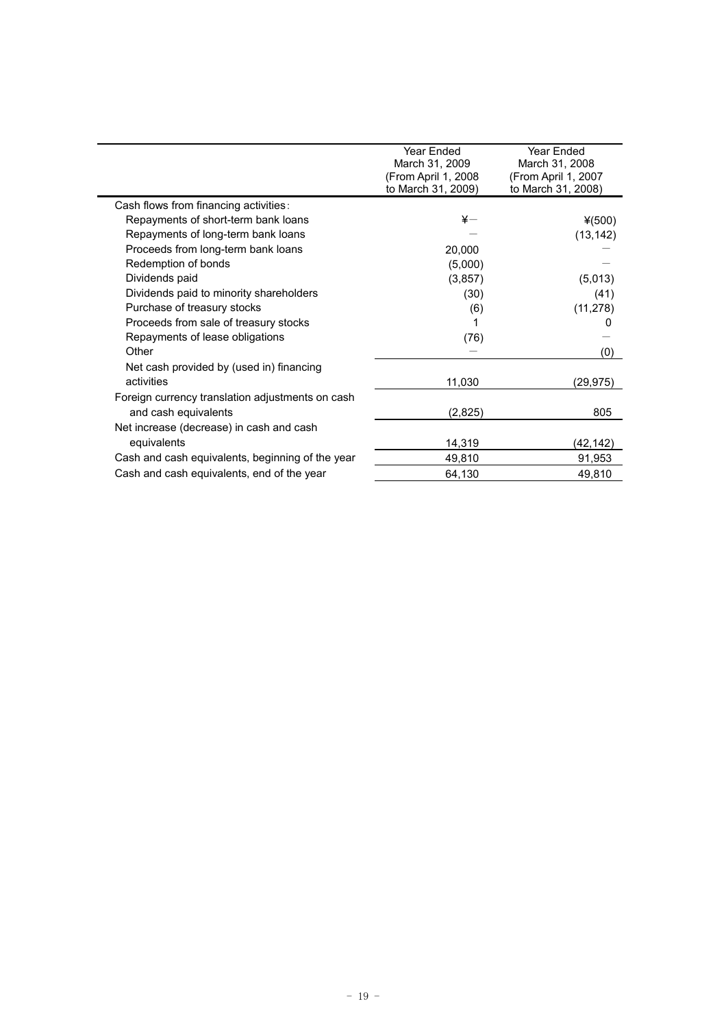|                                                  | Year Ended<br>March 31, 2009              | Year Ended<br>March 31, 2008              |
|--------------------------------------------------|-------------------------------------------|-------------------------------------------|
|                                                  | (From April 1, 2008<br>to March 31, 2009) | (From April 1, 2007<br>to March 31, 2008) |
| Cash flows from financing activities:            |                                           |                                           |
| Repayments of short-term bank loans              | $\overline{\mathbf{x}}-$                  | $*(500)$                                  |
| Repayments of long-term bank loans               |                                           | (13, 142)                                 |
| Proceeds from long-term bank loans               | 20,000                                    |                                           |
| Redemption of bonds                              | (5,000)                                   |                                           |
| Dividends paid                                   | (3,857)                                   | (5,013)                                   |
| Dividends paid to minority shareholders          | (30)                                      | (41)                                      |
| Purchase of treasury stocks                      | (6)                                       | (11, 278)                                 |
| Proceeds from sale of treasury stocks            |                                           | 0                                         |
| Repayments of lease obligations                  | (76)                                      |                                           |
| Other                                            |                                           | (0)                                       |
| Net cash provided by (used in) financing         |                                           |                                           |
| activities                                       | 11,030                                    | (29,975)                                  |
| Foreign currency translation adjustments on cash |                                           |                                           |
| and cash equivalents                             | (2,825)                                   | 805                                       |
| Net increase (decrease) in cash and cash         |                                           |                                           |
| equivalents                                      | 14,319                                    | (42, 142)                                 |
| Cash and cash equivalents, beginning of the year | 49,810                                    | 91,953                                    |
| Cash and cash equivalents, end of the year       | 64,130                                    | 49,810                                    |